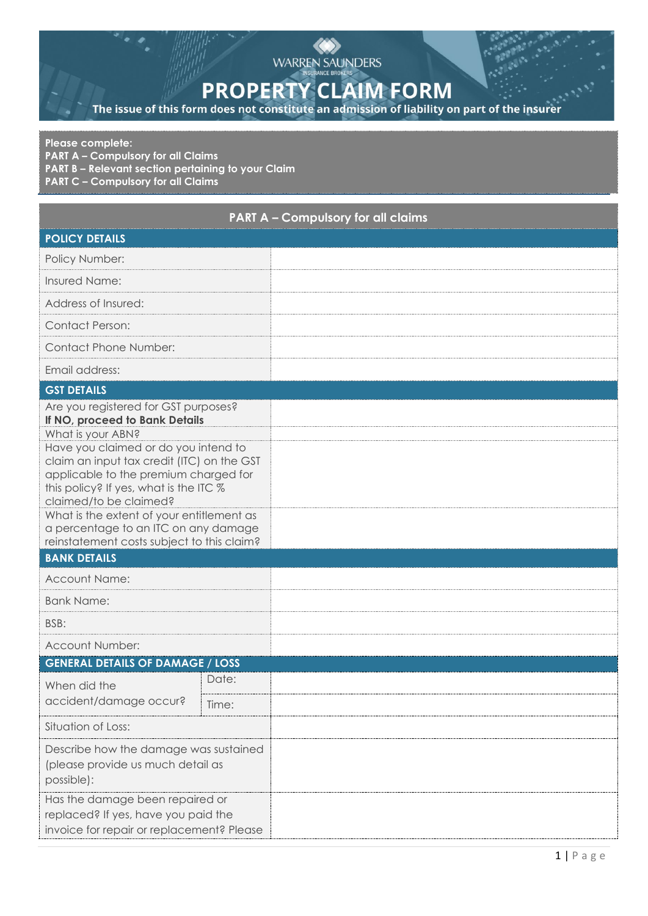## WARREN SAUNDERS

## **PROPERTY CLAIM FORM**

The issue of this form does not constitute an admission of liability on part of the insurer

## **Please complete:**

**PART A – Compulsory for all Claims**

**PART B – Relevant section pertaining to your Claim**

**PART C – Compulsory for all Claims**

| <b>PART A - Compulsory for all claims</b>                                                                                                                                                                                                                                            |       |  |  |  |  |  |  |
|--------------------------------------------------------------------------------------------------------------------------------------------------------------------------------------------------------------------------------------------------------------------------------------|-------|--|--|--|--|--|--|
| <b>POLICY DETAILS</b>                                                                                                                                                                                                                                                                |       |  |  |  |  |  |  |
| Policy Number:                                                                                                                                                                                                                                                                       |       |  |  |  |  |  |  |
| Insured Name:                                                                                                                                                                                                                                                                        |       |  |  |  |  |  |  |
| Address of Insured:                                                                                                                                                                                                                                                                  |       |  |  |  |  |  |  |
| <b>Contact Person:</b>                                                                                                                                                                                                                                                               |       |  |  |  |  |  |  |
| <b>Contact Phone Number:</b>                                                                                                                                                                                                                                                         |       |  |  |  |  |  |  |
| Email address:                                                                                                                                                                                                                                                                       |       |  |  |  |  |  |  |
| <b>GST DETAILS</b>                                                                                                                                                                                                                                                                   |       |  |  |  |  |  |  |
| Are you registered for GST purposes?<br>If NO, proceed to Bank Details<br>What is your ABN?                                                                                                                                                                                          |       |  |  |  |  |  |  |
| Have you claimed or do you intend to<br>claim an input tax credit (ITC) on the GST<br>applicable to the premium charged for<br>this policy? If yes, what is the ITC %<br>claimed/to be claimed?<br>What is the extent of your entitlement as<br>a percentage to an ITC on any damage |       |  |  |  |  |  |  |
| reinstatement costs subject to this claim?                                                                                                                                                                                                                                           |       |  |  |  |  |  |  |
| <b>BANK DETAILS</b>                                                                                                                                                                                                                                                                  |       |  |  |  |  |  |  |
| <b>Account Name:</b>                                                                                                                                                                                                                                                                 |       |  |  |  |  |  |  |
| <b>Bank Name:</b>                                                                                                                                                                                                                                                                    |       |  |  |  |  |  |  |
| BSB:                                                                                                                                                                                                                                                                                 |       |  |  |  |  |  |  |
| Account Number:                                                                                                                                                                                                                                                                      |       |  |  |  |  |  |  |
| <b>GENERAL DETAILS OF DAMAGE / LOSS</b>                                                                                                                                                                                                                                              |       |  |  |  |  |  |  |
| When did the<br>accident/damage occur?                                                                                                                                                                                                                                               | Date: |  |  |  |  |  |  |
|                                                                                                                                                                                                                                                                                      | Time: |  |  |  |  |  |  |
| Situation of Loss:                                                                                                                                                                                                                                                                   |       |  |  |  |  |  |  |
| Describe how the damage was sustained<br>(please provide us much detail as<br>possible):                                                                                                                                                                                             |       |  |  |  |  |  |  |
| Has the damage been repaired or<br>replaced? If yes, have you paid the<br>invoice for repair or replacement? Please                                                                                                                                                                  |       |  |  |  |  |  |  |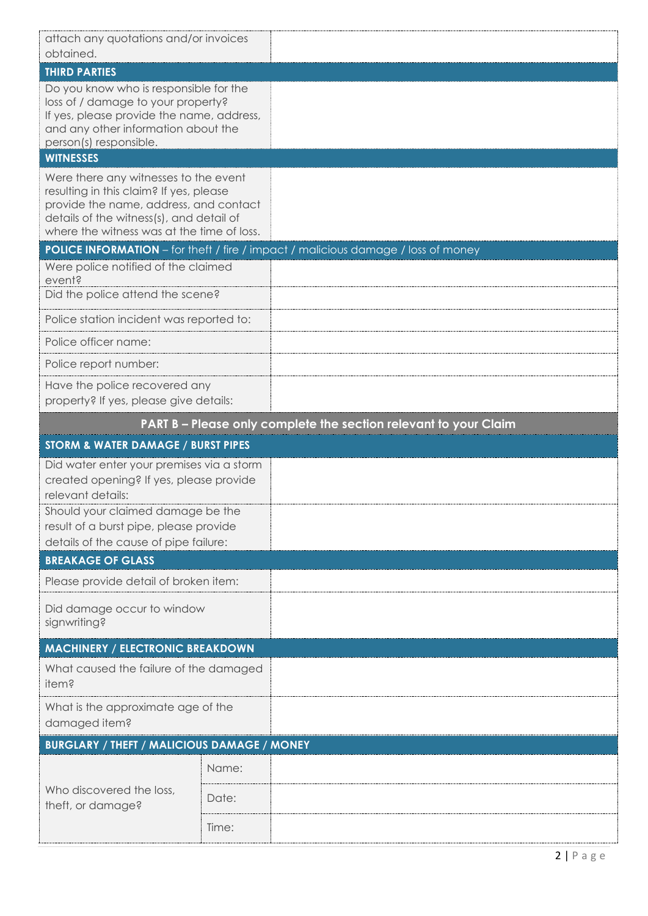| attach any quotations and/or invoices<br>obtained.                                                                                                                                                                   |       |                                                                                   |  |  |  |  |  |  |
|----------------------------------------------------------------------------------------------------------------------------------------------------------------------------------------------------------------------|-------|-----------------------------------------------------------------------------------|--|--|--|--|--|--|
| <b>THIRD PARTIES</b>                                                                                                                                                                                                 |       |                                                                                   |  |  |  |  |  |  |
| Do you know who is responsible for the<br>loss of / damage to your property?<br>If yes, please provide the name, address,<br>and any other information about the<br>person(s) responsible.<br><b>WITNESSES</b>       |       |                                                                                   |  |  |  |  |  |  |
| Were there any witnesses to the event<br>resulting in this claim? If yes, please<br>provide the name, address, and contact<br>details of the witness(s), and detail of<br>where the witness was at the time of loss. |       |                                                                                   |  |  |  |  |  |  |
|                                                                                                                                                                                                                      |       | POLICE INFORMATION - for theft / fire / impact / malicious damage / loss of money |  |  |  |  |  |  |
| Were police notified of the claimed<br>event?<br>Did the police attend the scene?                                                                                                                                    |       |                                                                                   |  |  |  |  |  |  |
| Police station incident was reported to:                                                                                                                                                                             |       |                                                                                   |  |  |  |  |  |  |
| Police officer name:                                                                                                                                                                                                 |       |                                                                                   |  |  |  |  |  |  |
| Police report number:                                                                                                                                                                                                |       |                                                                                   |  |  |  |  |  |  |
| Have the police recovered any<br>property? If yes, please give details:                                                                                                                                              |       |                                                                                   |  |  |  |  |  |  |
|                                                                                                                                                                                                                      |       | PART B - Please only complete the section relevant to your Claim                  |  |  |  |  |  |  |
|                                                                                                                                                                                                                      |       |                                                                                   |  |  |  |  |  |  |
| STORM & WATER DAMAGE / BURST PIPES                                                                                                                                                                                   |       |                                                                                   |  |  |  |  |  |  |
| Did water enter your premises via a storm<br>created opening? If yes, please provide<br>relevant details:                                                                                                            |       |                                                                                   |  |  |  |  |  |  |
| Should your claimed damage be the<br>result of a burst pipe, please provide<br>details of the cause of pipe failure:                                                                                                 |       |                                                                                   |  |  |  |  |  |  |
| <b>BREAKAGE OF GLASS</b>                                                                                                                                                                                             |       |                                                                                   |  |  |  |  |  |  |
| Please provide detail of broken item:                                                                                                                                                                                |       |                                                                                   |  |  |  |  |  |  |
| Did damage occur to window<br>signwriting?                                                                                                                                                                           |       |                                                                                   |  |  |  |  |  |  |
| <b>MACHINERY / ELECTRONIC BREAKDOWN</b>                                                                                                                                                                              |       |                                                                                   |  |  |  |  |  |  |
| What caused the failure of the damaged<br>item?                                                                                                                                                                      |       |                                                                                   |  |  |  |  |  |  |
| What is the approximate age of the<br>damaged item?                                                                                                                                                                  |       |                                                                                   |  |  |  |  |  |  |
| <b>BURGLARY / THEFT / MALICIOUS DAMAGE / MONEY</b>                                                                                                                                                                   |       |                                                                                   |  |  |  |  |  |  |
|                                                                                                                                                                                                                      | Name: |                                                                                   |  |  |  |  |  |  |
| Who discovered the loss,<br>theft, or damage?                                                                                                                                                                        | Date: |                                                                                   |  |  |  |  |  |  |